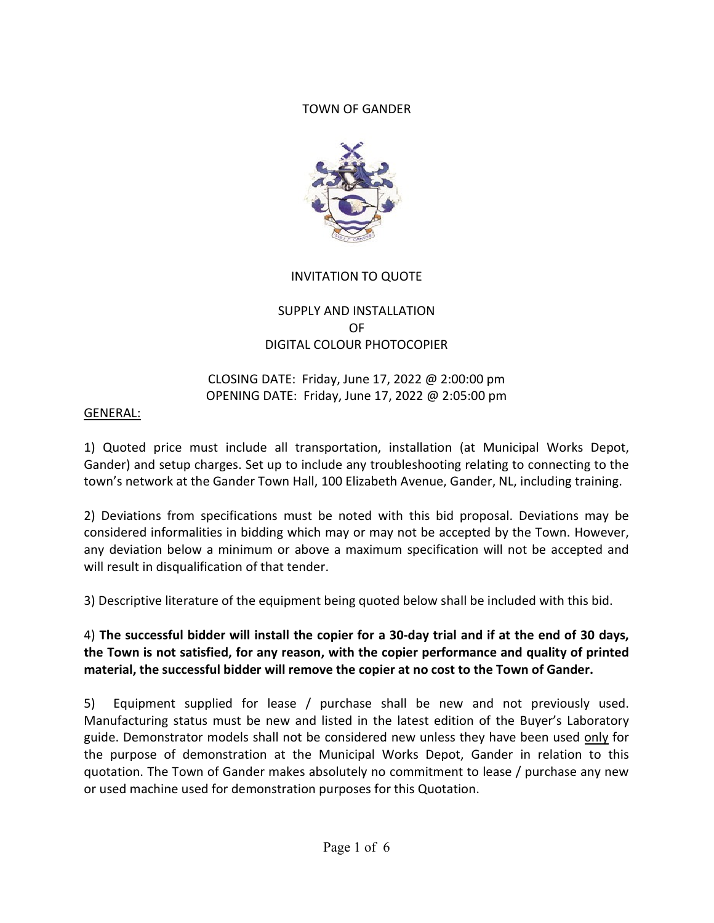### TOWN OF GANDER



# INVITATION TO QUOTE

# SUPPLY AND INSTALLATION OF DIGITAL COLOUR PHOTOCOPIER

### CLOSING DATE: Friday, June 17, 2022 @ 2:00:00 pm OPENING DATE: Friday, June 17, 2022 @ 2:05:00 pm

### GENERAL:

1) Quoted price must include all transportation, installation (at Municipal Works Depot, Gander) and setup charges. Set up to include any troubleshooting relating to connecting to the town's network at the Gander Town Hall, 100 Elizabeth Avenue, Gander, NL, including training.

2) Deviations from specifications must be noted with this bid proposal. Deviations may be considered informalities in bidding which may or may not be accepted by the Town. However, any deviation below a minimum or above a maximum specification will not be accepted and will result in disqualification of that tender.

3) Descriptive literature of the equipment being quoted below shall be included with this bid.

# 4) The successful bidder will install the copier for a 30-day trial and if at the end of 30 days, the Town is not satisfied, for any reason, with the copier performance and quality of printed material, the successful bidder will remove the copier at no cost to the Town of Gander.

5) Equipment supplied for lease / purchase shall be new and not previously used. Manufacturing status must be new and listed in the latest edition of the Buyer's Laboratory guide. Demonstrator models shall not be considered new unless they have been used only for the purpose of demonstration at the Municipal Works Depot, Gander in relation to this quotation. The Town of Gander makes absolutely no commitment to lease / purchase any new or used machine used for demonstration purposes for this Quotation.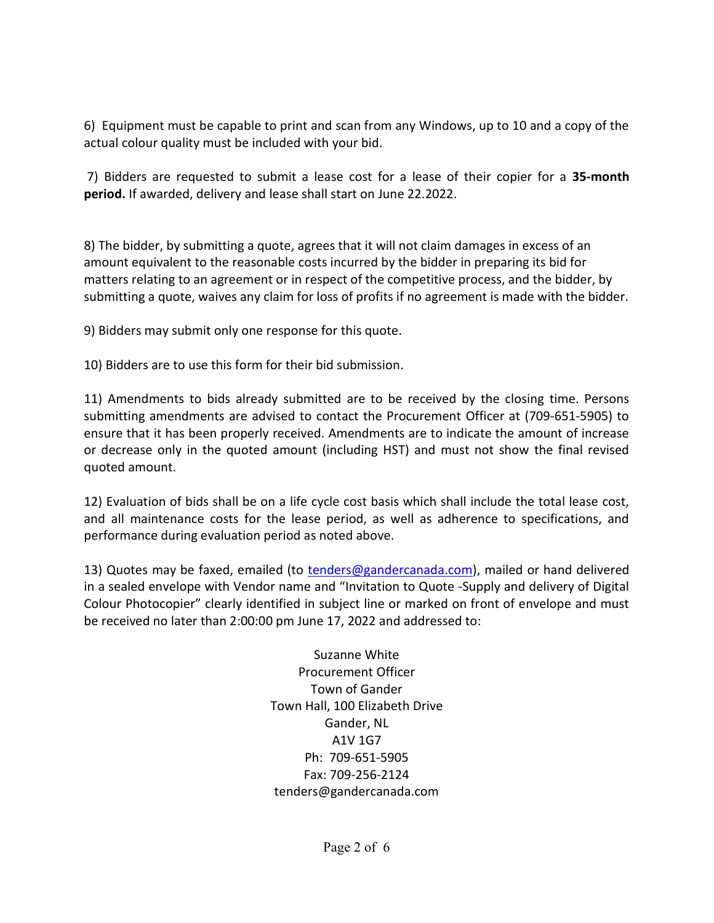6) Equipment must be capable to print and scan from any Windows, up to 10 and a copy of the actual colour quality must be included with your bid.

 7) Bidders are requested to submit a lease cost for a lease of their copier for a 35-month period. If awarded, delivery and lease shall start on June 22.2022.

8) The bidder, by submitting a quote, agrees that it will not claim damages in excess of an amount equivalent to the reasonable costs incurred by the bidder in preparing its bid for matters relating to an agreement or in respect of the competitive process, and the bidder, by submitting a quote, waives any claim for loss of profits if no agreement is made with the bidder.

9) Bidders may submit only one response for this quote.

10) Bidders are to use this form for their bid submission.

11) Amendments to bids already submitted are to be received by the closing time. Persons submitting amendments are advised to contact the Procurement Officer at (709-651-5905) to ensure that it has been properly received. Amendments are to indicate the amount of increase or decrease only in the quoted amount (including HST) and must not show the final revised quoted amount.

12) Evaluation of bids shall be on a life cycle cost basis which shall include the total lease cost, and all maintenance costs for the lease period, as well as adherence to specifications, and performance during evaluation period as noted above.

13) Quotes may be faxed, emailed (to tenders@gandercanada.com), mailed or hand delivered in a sealed envelope with Vendor name and "Invitation to Quote -Supply and delivery of Digital Colour Photocopier" clearly identified in subject line or marked on front of envelope and must be received no later than 2:00:00 pm June 17, 2022 and addressed to:

> Suzanne White Procurement Officer Town of Gander Town Hall, 100 Elizabeth Drive Gander, NL A1V 1G7 Ph: 709-651-5905 Fax: 709-256-2124 tenders@gandercanada.com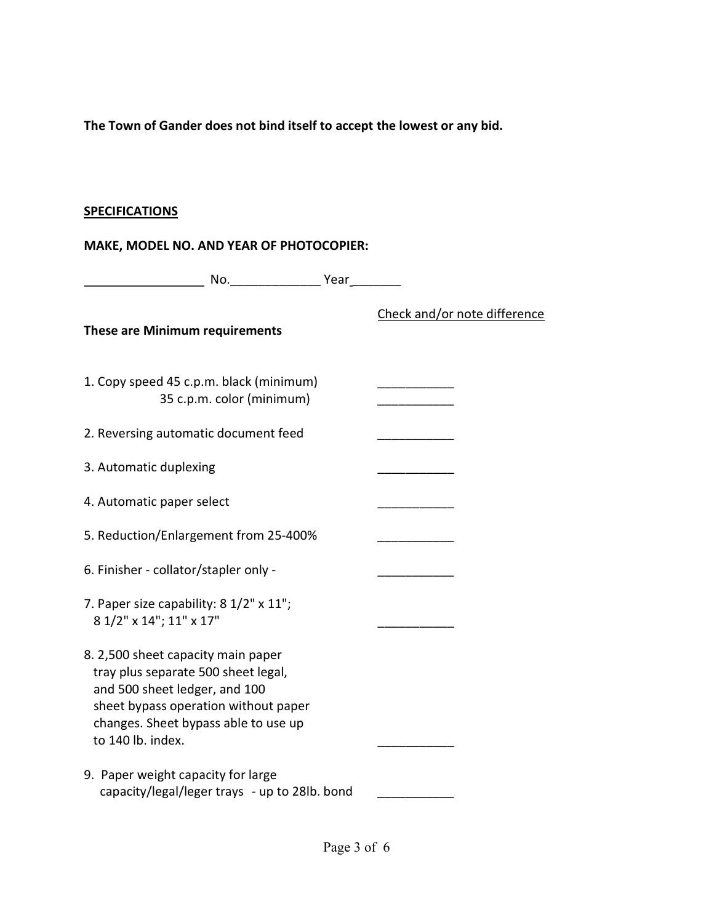The Town of Gander does not bind itself to accept the lowest or any bid.

# **SPECIFICATIONS**

# MAKE, MODEL NO. AND YEAR OF PHOTOCOPIER:

| No. Year                                                                                                                                                                                                        |                              |
|-----------------------------------------------------------------------------------------------------------------------------------------------------------------------------------------------------------------|------------------------------|
| <b>These are Minimum requirements</b>                                                                                                                                                                           | Check and/or note difference |
| 1. Copy speed 45 c.p.m. black (minimum)<br>35 c.p.m. color (minimum)                                                                                                                                            |                              |
| 2. Reversing automatic document feed                                                                                                                                                                            |                              |
| 3. Automatic duplexing                                                                                                                                                                                          |                              |
| 4. Automatic paper select                                                                                                                                                                                       |                              |
| 5. Reduction/Enlargement from 25-400%                                                                                                                                                                           |                              |
| 6. Finisher - collator/stapler only -                                                                                                                                                                           |                              |
| 7. Paper size capability: 8 1/2" x 11";<br>8 1/2" x 14"; 11" x 17"                                                                                                                                              |                              |
| 8. 2,500 sheet capacity main paper<br>tray plus separate 500 sheet legal,<br>and 500 sheet ledger, and 100<br>sheet bypass operation without paper<br>changes. Sheet bypass able to use up<br>to 140 lb. index. |                              |
| 9. Paper weight capacity for large<br>capacity/legal/leger trays - up to 28lb. bond                                                                                                                             |                              |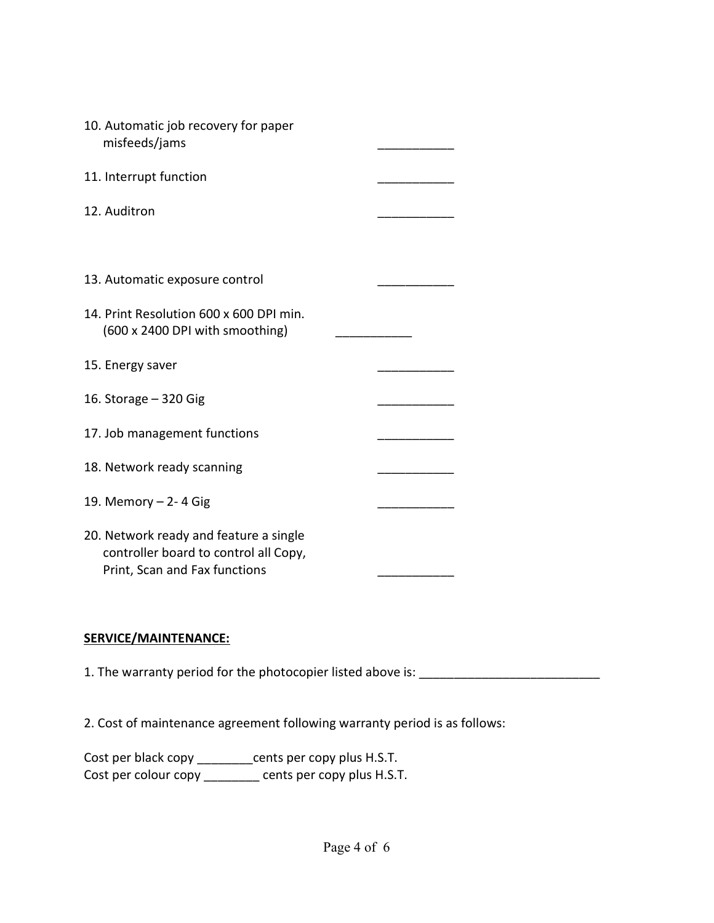| 10. Automatic job recovery for paper<br>misfeeds/jams                                                            |  |
|------------------------------------------------------------------------------------------------------------------|--|
| 11. Interrupt function                                                                                           |  |
| 12. Auditron                                                                                                     |  |
|                                                                                                                  |  |
| 13. Automatic exposure control                                                                                   |  |
| 14. Print Resolution 600 x 600 DPI min.<br>(600 x 2400 DPI with smoothing)                                       |  |
| 15. Energy saver                                                                                                 |  |
| 16. Storage - 320 Gig                                                                                            |  |
| 17. Job management functions                                                                                     |  |
| 18. Network ready scanning                                                                                       |  |
| 19. Memory - 2-4 Gig                                                                                             |  |
| 20. Network ready and feature a single<br>controller board to control all Copy,<br>Print, Scan and Fax functions |  |

### SERVICE/MAINTENANCE:

1. The warranty period for the photocopier listed above is: \_\_\_\_\_\_\_\_\_\_\_\_\_\_\_\_\_\_\_\_\_

2. Cost of maintenance agreement following warranty period is as follows:

Cost per black copy \_\_\_\_\_\_\_\_cents per copy plus H.S.T. Cost per colour copy \_\_\_\_\_\_\_ cents per copy plus H.S.T.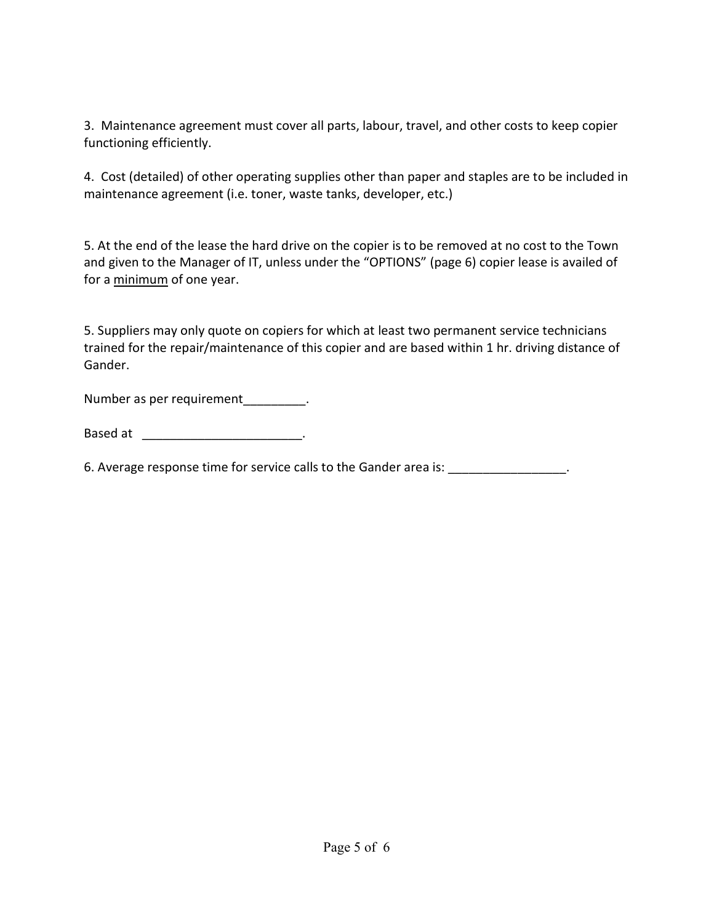3. Maintenance agreement must cover all parts, labour, travel, and other costs to keep copier functioning efficiently.

4. Cost (detailed) of other operating supplies other than paper and staples are to be included in maintenance agreement (i.e. toner, waste tanks, developer, etc.)

5. At the end of the lease the hard drive on the copier is to be removed at no cost to the Town and given to the Manager of IT, unless under the "OPTIONS" (page 6) copier lease is availed of for a minimum of one year.

5. Suppliers may only quote on copiers for which at least two permanent service technicians trained for the repair/maintenance of this copier and are based within 1 hr. driving distance of Gander.

Number as per requirement\_\_\_\_\_\_\_\_\_\_.

Based at \_\_\_\_\_\_\_\_\_\_\_\_\_\_\_\_\_\_\_\_\_\_\_\_\_\_\_\_.

6. Average response time for service calls to the Gander area is: \_\_\_\_\_\_\_\_\_\_\_\_\_\_\_